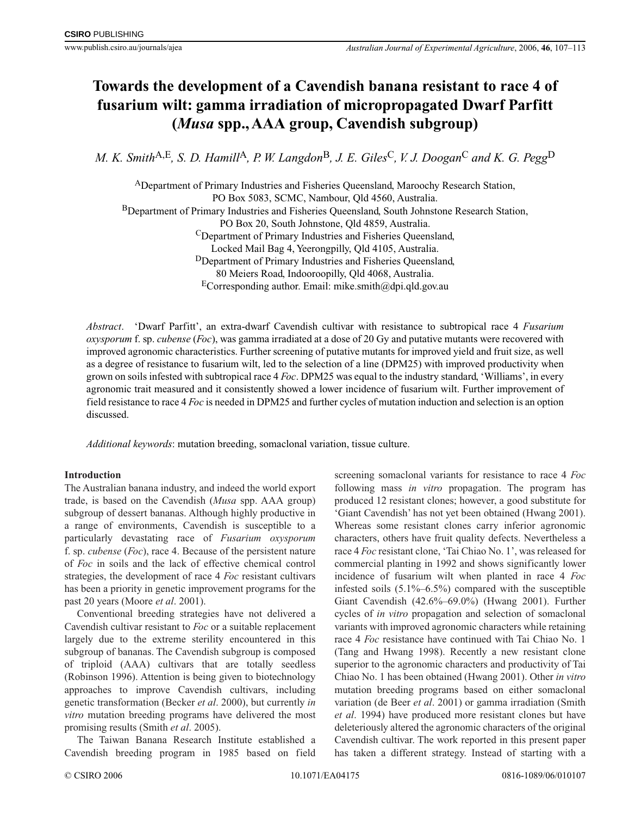# **Towards the development of a Cavendish banana resistant to race 4 of fusarium wilt: gamma irradiation of micropropagated Dwarf Parfitt (***Musa* **spp., AAA group, Cavendish subgroup)**

*M. K. Smith*A,E*, S. D. Hamill*A*, P. W. Langdon*B*, J. E. Giles*C*, V. J. Doogan*<sup>C</sup> *and K. G. Pegg*<sup>D</sup>

ADepartment of Primary Industries and Fisheries Queensland, Maroochy Research Station, PO Box 5083, SCMC, Nambour, Qld 4560, Australia. BDepartment of Primary Industries and Fisheries Queensland, South Johnstone Research Station, PO Box 20, South Johnstone, Qld 4859, Australia. CDepartment of Primary Industries and Fisheries Queensland, Locked Mail Bag 4, Yeerongpilly, Qld 4105, Australia. DDepartment of Primary Industries and Fisheries Queensland, 80 Meiers Road, Indooroopilly, Qld 4068, Australia. ECorresponding author. Email: mike.smith@dpi.qld.gov.au

*Abstract*. 'Dwarf Parfitt', an extra-dwarf Cavendish cultivar with resistance to subtropical race 4 *Fusarium oxysporum* f. sp. *cubense* (*Foc*), was gamma irradiated at a dose of 20 Gy and putative mutants were recovered with improved agronomic characteristics. Further screening of putative mutants for improved yield and fruit size, as well as a degree of resistance to fusarium wilt, led to the selection of a line (DPM25) with improved productivity when grown on soils infested with subtropical race 4 *Foc*. DPM25 was equal to the industry standard, 'Williams', in every agronomic trait measured and it consistently showed a lower incidence of fusarium wilt. Further improvement of field resistance to race 4 *Foc* is needed in DPM25 and further cycles of mutation induction and selection is an option discussed.

*Additional keywords*: mutation breeding, somaclonal variation, tissue culture.

# **Introduction**

The Australian banana industry, and indeed the world export trade, is based on the Cavendish (*Musa* spp. AAA group) subgroup of dessert bananas. Although highly productive in a range of environments, Cavendish is susceptible to a particularly devastating race of *Fusarium oxysporum* f. sp. *cubense* (*Foc*), race 4. Because of the persistent nature of *Foc* in soils and the lack of effective chemical control strategies, the development of race 4 *Foc* resistant cultivars has been a priority in genetic improvement programs for the past 20 years (Moore *et al*. 2001).

Conventional breeding strategies have not delivered a Cavendish cultivar resistant to *Foc* or a suitable replacement largely due to the extreme sterility encountered in this subgroup of bananas. The Cavendish subgroup is composed of triploid (AAA) cultivars that are totally seedless (Robinson 1996). Attention is being given to biotechnology approaches to improve Cavendish cultivars, including genetic transformation (Becker *et al*. 2000), but currently *in vitro* mutation breeding programs have delivered the most promising results (Smith *et al*. 2005).

The Taiwan Banana Research Institute established a Cavendish breeding program in 1985 based on field screening somaclonal variants for resistance to race 4 *Foc* following mass *in vitro* propagation. The program has produced 12 resistant clones; however, a good substitute for 'Giant Cavendish' has not yet been obtained (Hwang 2001). Whereas some resistant clones carry inferior agronomic characters, others have fruit quality defects. Nevertheless a race 4 *Foc* resistant clone, 'Tai Chiao No. 1', was released for commercial planting in 1992 and shows significantly lower incidence of fusarium wilt when planted in race 4 *Foc* infested soils  $(5.1\% - 6.5\%)$  compared with the susceptible Giant Cavendish (42.6%–69.0%) (Hwang 2001). Further cycles of *in vitro* propagation and selection of somaclonal variants with improved agronomic characters while retaining race 4 *Foc* resistance have continued with Tai Chiao No. 1 (Tang and Hwang 1998). Recently a new resistant clone superior to the agronomic characters and productivity of Tai Chiao No. 1 has been obtained (Hwang 2001). Other *in vitro* mutation breeding programs based on either somaclonal variation (de Beer *et al*. 2001) or gamma irradiation (Smith *et al*. 1994) have produced more resistant clones but have deleteriously altered the agronomic characters of the original Cavendish cultivar. The work reported in this present paper has taken a different strategy. Instead of starting with a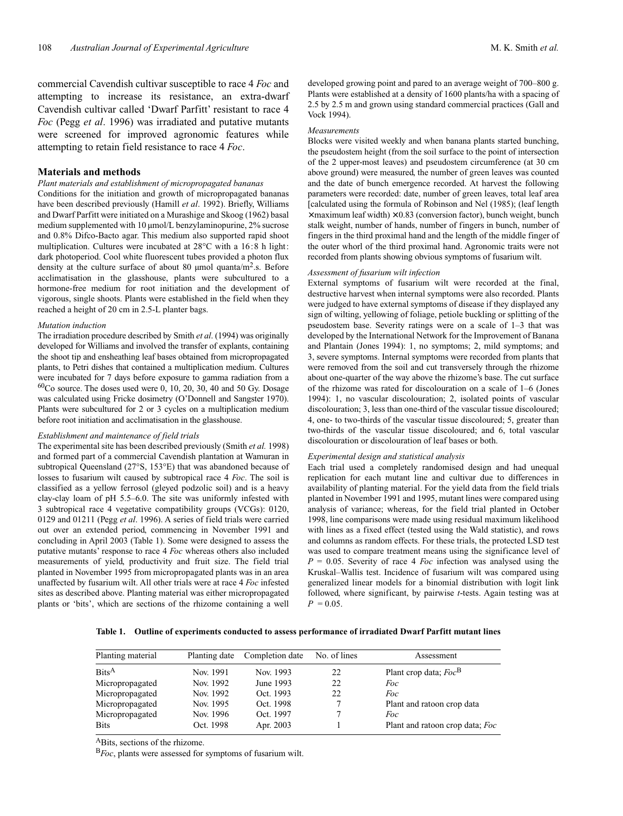commercial Cavendish cultivar susceptible to race 4 *Foc* and attempting to increase its resistance, an extra-dwarf Cavendish cultivar called 'Dwarf Parfitt' resistant to race 4 *Foc* (Pegg *et al*. 1996) was irradiated and putative mutants were screened for improved agronomic features while attempting to retain field resistance to race 4 *Foc*.

# **Materials and methods**

#### *Plant materials and establishment of micropropagated bananas*

Conditions for the initiation and growth of micropropagated bananas have been described previously (Hamill *et al*. 1992). Briefly, Williams and Dwarf Parfitt were initiated on a Murashige and Skoog (1962) basal medium supplemented with 10 µmol/L benzylaminopurine, 2% sucrose and 0.8% Difco-Bacto agar. This medium also supported rapid shoot multiplication. Cultures were incubated at 28°C with a 16:8 h light: dark photoperiod. Cool white fluorescent tubes provided a photon flux density at the culture surface of about 80  $\mu$ mol quanta/m<sup>2</sup>.s. Before acclimatisation in the glasshouse, plants were subcultured to a hormone-free medium for root initiation and the development of vigorous, single shoots. Plants were established in the field when they reached a height of 20 cm in 2.5-L planter bags.

#### *Mutation induction*

The irradiation procedure described by Smith *et al*. (1994) was originally developed for Williams and involved the transfer of explants, containing the shoot tip and ensheathing leaf bases obtained from micropropagated plants, to Petri dishes that contained a multiplication medium. Cultures were incubated for 7 days before exposure to gamma radiation from a  $^{60}\mathrm{Co}$  source. The doses used were 0, 10, 20, 30, 40 and 50 Gy. Dosage was calculated using Fricke dosimetry (O'Donnell and Sangster 1970). Plants were subcultured for 2 or 3 cycles on a multiplication medium before root initiation and acclimatisation in the glasshouse.

### *Establishment and maintenance of field trials*

The experimental site has been described previously (Smith *et al.* 1998) and formed part of a commercial Cavendish plantation at Wamuran in subtropical Queensland (27°S, 153°E) that was abandoned because of losses to fusarium wilt caused by subtropical race 4 *Foc*. The soil is classified as a yellow ferrosol (gleyed podzolic soil) and is a heavy clay-clay loam of pH 5.5–6.0. The site was uniformly infested with 3 subtropical race 4 vegetative compatibility groups (VCGs): 0120, 0129 and 01211 (Pegg *et al*. 1996). A series of field trials were carried out over an extended period, commencing in November 1991 and concluding in April 2003 (Table 1). Some were designed to assess the putative mutants' response to race 4 *Foc* whereas others also included measurements of yield, productivity and fruit size. The field trial planted in November 1995 from micropropagated plants was in an area unaffected by fusarium wilt. All other trials were at race 4 *Foc* infested sites as described above. Planting material was either micropropagated plants or 'bits', which are sections of the rhizome containing a well

developed growing point and pared to an average weight of 700–800 g. Plants were established at a density of 1600 plants/ha with a spacing of 2.5 by 2.5 m and grown using standard commercial practices (Gall and Vock 1994).

#### *Measurements*

Blocks were visited weekly and when banana plants started bunching, the pseudostem height (from the soil surface to the point of intersection of the 2 upper-most leaves) and pseudostem circumference (at 30 cm above ground) were measured, the number of green leaves was counted and the date of bunch emergence recorded. At harvest the following parameters were recorded: date, number of green leaves, total leaf area [calculated using the formula of Robinson and Nel (1985); (leaf length  $\times$  maximum leaf width)  $\times$  0.83 (conversion factor), bunch weight, bunch stalk weight, number of hands, number of fingers in bunch, number of fingers in the third proximal hand and the length of the middle finger of the outer whorl of the third proximal hand. Agronomic traits were not recorded from plants showing obvious symptoms of fusarium wilt.

#### *Assessment of fusarium wilt infection*

External symptoms of fusarium wilt were recorded at the final, destructive harvest when internal symptoms were also recorded. Plants were judged to have external symptoms of disease if they displayed any sign of wilting, yellowing of foliage, petiole buckling or splitting of the pseudostem base. Severity ratings were on a scale of 1–3 that was developed by the International Network for the Improvement of Banana and Plantain (Jones 1994): 1, no symptoms; 2, mild symptoms; and 3, severe symptoms. Internal symptoms were recorded from plants that were removed from the soil and cut transversely through the rhizome about one-quarter of the way above the rhizome's base. The cut surface of the rhizome was rated for discolouration on a scale of 1–6 (Jones 1994): 1, no vascular discolouration; 2, isolated points of vascular discolouration; 3, less than one-third of the vascular tissue discoloured; 4, one- to two-thirds of the vascular tissue discoloured; 5, greater than two-thirds of the vascular tissue discoloured; and 6, total vascular discolouration or discolouration of leaf bases or both.

### *Experimental design and statistical analysis*

Each trial used a completely randomised design and had unequal replication for each mutant line and cultivar due to differences in availability of planting material. For the yield data from the field trials planted in November 1991 and 1995, mutant lines were compared using analysis of variance; whereas, for the field trial planted in October 1998, line comparisons were made using residual maximum likelihood with lines as a fixed effect (tested using the Wald statistic), and rows and columns as random effects. For these trials, the protected LSD test was used to compare treatment means using the significance level of  $P = 0.05$ . Severity of race 4 *Foc* infection was analysed using the Kruskal–Wallis test. Incidence of fusarium wilt was compared using generalized linear models for a binomial distribution with logit link followed, where significant, by pairwise *t*-tests. Again testing was at  $P = 0.05$ .

**Table 1. Outline of experiments conducted to assess performance of irradiated Dwarf Parfitt mutant lines**

| Planting material        | Planting date | Completion date | No. of lines | Assessment                      |
|--------------------------|---------------|-----------------|--------------|---------------------------------|
| $\text{Bits}^{\text{A}}$ | Nov. 1991     | Nov. 1993       | 22           | Plant crop data; $Foc^B$        |
| Micropropagated          | Nov. 1992     | June 1993       | 22           | Foc                             |
| Micropropagated          | Nov. 1992     | Oct. 1993       | 22           | Foc                             |
| Micropropagated          | Nov. 1995     | Oct. 1998       |              | Plant and ratoon crop data      |
| Micropropagated          | Nov. 1996     | Oct. 1997       |              | <i>Foc</i>                      |
| <b>Bits</b>              | Oct. 1998     | Apr. 2003       |              | Plant and ratoon crop data; Foc |

ABits, sections of the rhizome.

<sup>B</sup>*Foc*, plants were assessed for symptoms of fusarium wilt.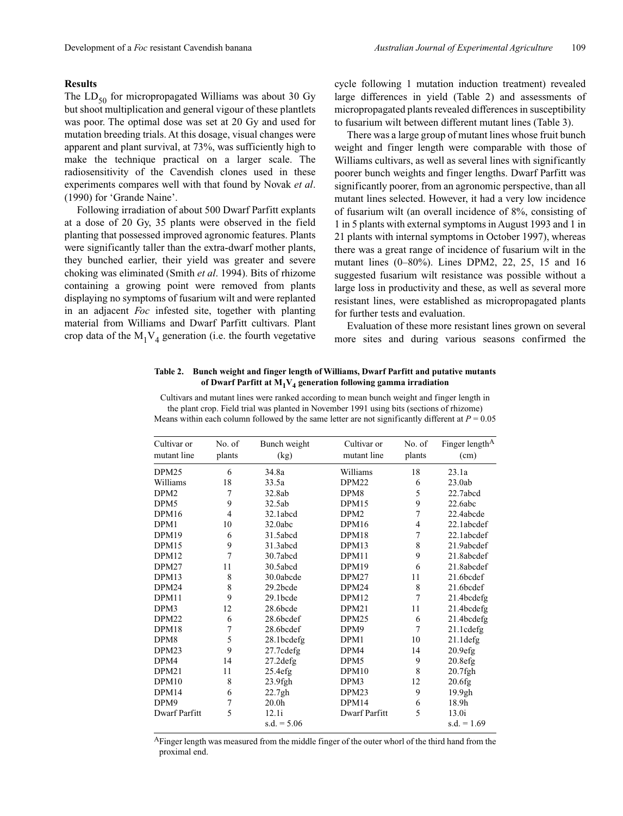#### **Results**

The  $LD_{50}$  for micropropagated Williams was about 30 Gy but shoot multiplication and general vigour of these plantlets was poor. The optimal dose was set at 20 Gy and used for mutation breeding trials. At this dosage, visual changes were apparent and plant survival, at 73%, was sufficiently high to make the technique practical on a larger scale. The radiosensitivity of the Cavendish clones used in these experiments compares well with that found by Novak *et al*. (1990) for 'Grande Naine'.

Following irradiation of about 500 Dwarf Parfitt explants at a dose of 20 Gy, 35 plants were observed in the field planting that possessed improved agronomic features. Plants were significantly taller than the extra-dwarf mother plants, they bunched earlier, their yield was greater and severe choking was eliminated (Smith *et al*. 1994). Bits of rhizome containing a growing point were removed from plants displaying no symptoms of fusarium wilt and were replanted in an adjacent *Foc* infested site, together with planting material from Williams and Dwarf Parfitt cultivars. Plant crop data of the  $M_1V_4$  generation (i.e. the fourth vegetative cycle following 1 mutation induction treatment) revealed large differences in yield (Table 2) and assessments of micropropagated plants revealed differences in susceptibility to fusarium wilt between different mutant lines (Table 3).

There was a large group of mutant lines whose fruit bunch weight and finger length were comparable with those of Williams cultivars, as well as several lines with significantly poorer bunch weights and finger lengths. Dwarf Parfitt was significantly poorer, from an agronomic perspective, than all mutant lines selected. However, it had a very low incidence of fusarium wilt (an overall incidence of 8%, consisting of 1 in 5 plants with external symptoms in August 1993 and 1 in 21 plants with internal symptoms in October 1997), whereas there was a great range of incidence of fusarium wilt in the mutant lines (0–80%). Lines DPM2, 22, 25, 15 and 16 suggested fusarium wilt resistance was possible without a large loss in productivity and these, as well as several more resistant lines, were established as micropropagated plants for further tests and evaluation.

Evaluation of these more resistant lines grown on several more sites and during various seasons confirmed the

| Table 2. Bunch weight and finger length of Williams, Dwarf Parfitt and putative mutants |
|-----------------------------------------------------------------------------------------|
| of Dwarf Parfitt at $M_1V_4$ generation following gamma irradiation                     |

| Cultivar or<br>mutant line | No. of<br>plants | Bunch weight<br>(kg) | Cultivar or<br>mutant line | No. of<br>plants | Finger length <sup>A</sup><br>(cm) |
|----------------------------|------------------|----------------------|----------------------------|------------------|------------------------------------|
| DPM <sub>25</sub>          | 6                | 34.8a                | Williams                   | 18               | 23.1a                              |
| Williams                   | 18               | 33.5a                | DPM <sub>22</sub>          | 6                | 23.0ab                             |
| DPM <sub>2</sub>           | 7                | 32.8ab               | DPM8                       | 5                | 22.7abcd                           |
| DPM <sub>5</sub>           | 9                | 32.5ab               | DPM15                      | 9                | 22.6abc                            |
| DPM16                      | $\overline{4}$   | 32.1abcd             | DPM <sub>2</sub>           | 7                | 22.4abcde                          |
| DPM1                       | 10               | 32.0abc              | DPM16                      | $\overline{4}$   | 22.1abcdef                         |
| DPM19                      | 6                | 31.5abcd             | DPM18                      | 7                | 22.1abcdef                         |
| DPM15                      | 9                | 31.3abcd             | DPM13                      | 8                | 21.9abcdef                         |
| DPM <sub>12</sub>          | 7                | 30.7abcd             | DPM11                      | 9                | 21.8abcdef                         |
| DPM27                      | 11               | 30.5abcd             | DPM19                      | 6                | 21.8abcdef                         |
| DPM13                      | 8                | 30.0abcde            | DPM27                      | 11               | 21.6bcdef                          |
| DPM <sub>24</sub>          | 8                | 29.2bcde             | DPM24                      | 8                | 21.6bcdef                          |
| DPM11                      | 9                | $29.1$ bcde          | DPM12                      | $\overline{7}$   | 21.4bcdefg                         |
| DPM3                       | 12               | 28.6bcde             | DPM21                      | 11               | 21.4bcdefg                         |
| DPM <sub>22</sub>          | 6                | 28.6bcdef            | DPM <sub>25</sub>          | 6                | 21.4bcdefg                         |
| DPM18                      | 7                | 28.6bcdef            | DPM9                       | 7                | 21.1cdefg                          |
| DPM8                       | 5                | 28.1bcdefg           | DPM1                       | 10               | $21.1$ defg                        |
| DPM <sub>23</sub>          | 9                | 27.7cdefg            | DPM4                       | 14               | 20.9efg                            |
| DPM4                       | 14               | $27.2$ defg          | DPM5                       | 9                | 20.8efg                            |
| DPM21                      | 11               | 25.4efg              | DPM10                      | 8                | $20.7$ fgh                         |
| DPM10                      | 8                | $23.9$ fgh           | DPM3                       | 12               | 20.6fg                             |
| DPM14                      | 6                | 22.7gh               | DPM <sub>23</sub>          | 9                | 19.9gh                             |
| DPM9                       | 7                | 20.0 <sub>h</sub>    | DPM14                      | 6                | 18.9h                              |
| Dwarf Parfitt              | 5                | 12.1i                | <b>Dwarf Parfitt</b>       | 5                | 13.0i                              |
|                            |                  | s.d. $= 5.06$        |                            |                  | s.d. = $1.69$                      |

Cultivars and mutant lines were ranked according to mean bunch weight and finger length in the plant crop. Field trial was planted in November 1991 using bits (sections of rhizome) Means within each column followed by the same letter are not significantly different at  $P = 0.05$ 

<sup>A</sup>Finger length was measured from the middle finger of the outer whorl of the third hand from the proximal end.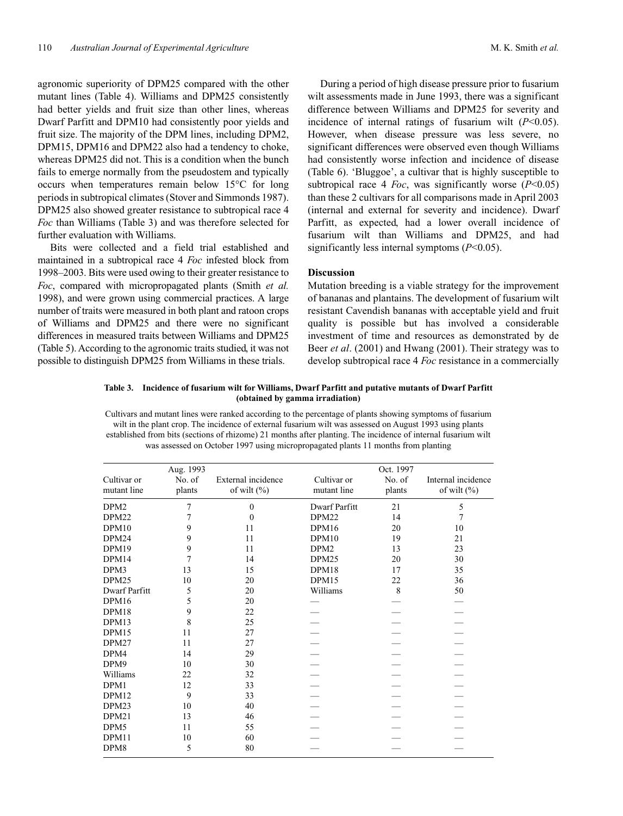agronomic superiority of DPM25 compared with the other mutant lines (Table 4). Williams and DPM25 consistently had better yields and fruit size than other lines, whereas Dwarf Parfitt and DPM10 had consistently poor yields and fruit size. The majority of the DPM lines, including DPM2, DPM15, DPM16 and DPM22 also had a tendency to choke, whereas DPM25 did not. This is a condition when the bunch fails to emerge normally from the pseudostem and typically occurs when temperatures remain below 15°C for long periods in subtropical climates (Stover and Simmonds 1987). DPM25 also showed greater resistance to subtropical race 4 *Foc* than Williams (Table 3) and was therefore selected for further evaluation with Williams.

Bits were collected and a field trial established and maintained in a subtropical race 4 *Foc* infested block from 1998–2003. Bits were used owing to their greater resistance to *Foc*, compared with micropropagated plants (Smith *et al.* 1998), and were grown using commercial practices. A large number of traits were measured in both plant and ratoon crops of Williams and DPM25 and there were no significant differences in measured traits between Williams and DPM25 (Table 5). According to the agronomic traits studied, it was not possible to distinguish DPM25 from Williams in these trials.

During a period of high disease pressure prior to fusarium wilt assessments made in June 1993, there was a significant difference between Williams and DPM25 for severity and incidence of internal ratings of fusarium wilt (*P*<0.05). However, when disease pressure was less severe, no significant differences were observed even though Williams had consistently worse infection and incidence of disease (Table 6). 'Bluggoe', a cultivar that is highly susceptible to subtropical race 4 *Foc*, was significantly worse  $(P<0.05)$ than these 2 cultivars for all comparisons made in April 2003 (internal and external for severity and incidence). Dwarf Parfitt, as expected, had a lower overall incidence of fusarium wilt than Williams and DPM25, and had significantly less internal symptoms (*P*<0.05).

# **Discussion**

Mutation breeding is a viable strategy for the improvement of bananas and plantains. The development of fusarium wilt resistant Cavendish bananas with acceptable yield and fruit quality is possible but has involved a considerable investment of time and resources as demonstrated by de Beer *et al*. (2001) and Hwang (2001). Their strategy was to develop subtropical race 4 *Foc* resistance in a commercially

# **Table 3. Incidence of fusarium wilt for Williams, Dwarf Parfitt and putative mutants of Dwarf Parfitt (obtained by gamma irradiation)**

Cultivars and mutant lines were ranked according to the percentage of plants showing symptoms of fusarium wilt in the plant crop. The incidence of external fusarium wilt was assessed on August 1993 using plants established from bits (sections of rhizome) 21 months after planting. The incidence of internal fusarium wilt was assessed on October 1997 using micropropagated plants 11 months from planting

|                            | Aug. 1993        |                                       |                            | Oct. 1997        |                                       |
|----------------------------|------------------|---------------------------------------|----------------------------|------------------|---------------------------------------|
| Cultivar or<br>mutant line | No. of<br>plants | External incidence<br>of wilt $(\% )$ | Cultivar or<br>mutant line | No. of<br>plants | Internal incidence<br>of wilt $(\% )$ |
| DPM <sub>2</sub>           | 7                | $\mathbf{0}$                          | Dwarf Parfitt              | 21               | 5                                     |
| DPM <sub>22</sub>          | 7                | $\Omega$                              | DPM22                      | 14               | 7                                     |
| DPM10                      | 9                | 11                                    | DPM16                      | 20               | 10                                    |
| DPM24                      | 9                | 11                                    | DPM10                      | 19               | 21                                    |
| DPM19                      | 9                | 11                                    | DPM <sub>2</sub>           | 13               | 23                                    |
| DPM14                      | 7                | 14                                    | DPM <sub>25</sub>          | 20               | 30                                    |
| DPM3                       | 13               | 15                                    | DPM18                      | 17               | 35                                    |
| DPM <sub>25</sub>          | 10               | 20                                    | DPM15                      | 22               | 36                                    |
| Dwarf Parfitt              | 5                | 20                                    | Williams                   | 8                | 50                                    |
| DPM16                      | 5                | 20                                    |                            |                  |                                       |
| DPM18                      | 9                | 22                                    |                            |                  |                                       |
| DPM13                      | 8                | 25                                    |                            |                  |                                       |
| DPM15                      | 11               | 27                                    |                            |                  |                                       |
| DPM27                      | 11               | 27                                    |                            |                  |                                       |
| DPM4                       | 14               | 29                                    |                            |                  |                                       |
| DPM9                       | 10               | 30                                    |                            |                  |                                       |
| Williams                   | 22               | 32                                    |                            |                  |                                       |
| DPM1                       | 12               | 33                                    |                            |                  |                                       |
| DPM12                      | 9                | 33                                    |                            |                  |                                       |
| DPM23                      | 10               | 40                                    |                            |                  |                                       |
| DPM21                      | 13               | 46                                    |                            |                  |                                       |
| DPM5                       | 11               | 55                                    |                            |                  |                                       |
| DPM11                      | 10               | 60                                    |                            |                  |                                       |
| DPM8                       | 5                | 80                                    |                            |                  |                                       |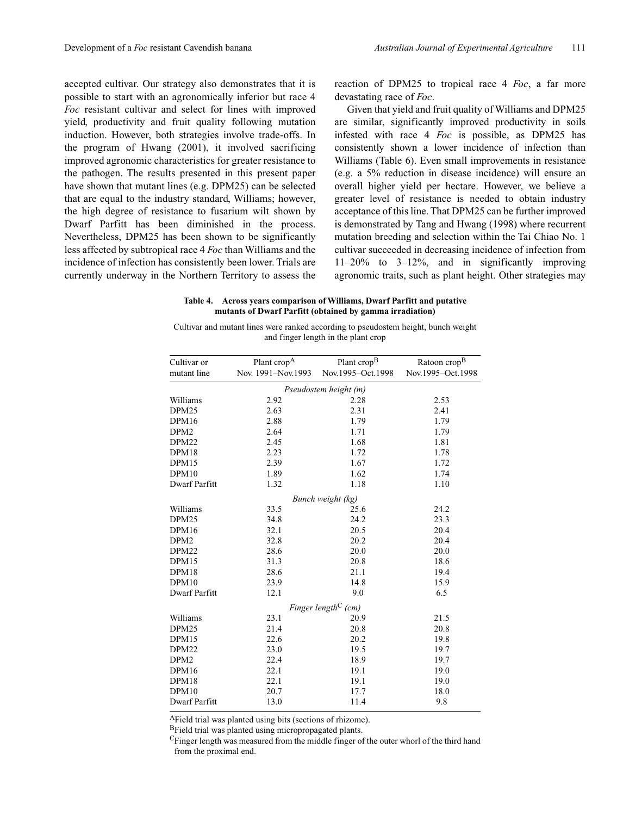accepted cultivar. Our strategy also demonstrates that it is possible to start with an agronomically inferior but race 4 *Foc* resistant cultivar and select for lines with improved yield, productivity and fruit quality following mutation induction. However, both strategies involve trade-offs. In the program of Hwang (2001), it involved sacrificing improved agronomic characteristics for greater resistance to the pathogen. The results presented in this present paper have shown that mutant lines (e.g. DPM25) can be selected that are equal to the industry standard, Williams; however, the high degree of resistance to fusarium wilt shown by Dwarf Parfitt has been diminished in the process. Nevertheless, DPM25 has been shown to be significantly less affected by subtropical race 4 *Foc* than Williams and the incidence of infection has consistently been lower. Trials are currently underway in the Northern Territory to assess the

reaction of DPM25 to tropical race 4 *Foc*, a far more devastating race of *Foc*.

Given that yield and fruit quality of Williams and DPM25 are similar, significantly improved productivity in soils infested with race 4 *Foc* is possible, as DPM25 has consistently shown a lower incidence of infection than Williams (Table 6). Even small improvements in resistance (e.g. a 5% reduction in disease incidence) will ensure an overall higher yield per hectare. However, we believe a greater level of resistance is needed to obtain industry acceptance of this line. That DPM25 can be further improved is demonstrated by Tang and Hwang (1998) where recurrent mutation breeding and selection within the Tai Chiao No. 1 cultivar succeeded in decreasing incidence of infection from 11–20% to 3–12%, and in significantly improving agronomic traits, such as plant height. Other strategies may

#### **Table 4. Across years comparison of Williams, Dwarf Parfitt and putative mutants of Dwarf Parfitt (obtained by gamma irradiation)**

| Cultivar and mutant lines were ranked according to pseudostem height, bunch weight |  |                                     |  |  |  |
|------------------------------------------------------------------------------------|--|-------------------------------------|--|--|--|
|                                                                                    |  | and finger length in the plant crop |  |  |  |

| Cultivar or<br>mutant line | Plant crop <sup>A</sup><br>Nov. 1991-Nov. 1993 | Plant crop <sup>B</sup><br>Nov.1995-Oct.1998 | Ratoon crop <sup>B</sup><br>Nov.1995-Oct.1998 |  |  |  |  |  |  |  |
|----------------------------|------------------------------------------------|----------------------------------------------|-----------------------------------------------|--|--|--|--|--|--|--|
|                            |                                                |                                              |                                               |  |  |  |  |  |  |  |
| Pseudostem height (m)      |                                                |                                              |                                               |  |  |  |  |  |  |  |
| Williams                   | 2.92                                           | 2.28                                         | 2.53                                          |  |  |  |  |  |  |  |
| DPM25                      | 2.63                                           | 2.31                                         | 2.41                                          |  |  |  |  |  |  |  |
| DPM16                      | 2.88                                           | 1.79                                         | 1.79                                          |  |  |  |  |  |  |  |
| DPM <sub>2</sub>           | 2.64                                           | 1.71                                         | 1.79                                          |  |  |  |  |  |  |  |
| DPM <sub>22</sub>          | 2.45                                           | 1.68                                         | 1.81                                          |  |  |  |  |  |  |  |
| DPM18                      | 2.23                                           | 1.72                                         | 1.78                                          |  |  |  |  |  |  |  |
| DPM15                      | 2.39                                           | 1.67                                         | 1.72                                          |  |  |  |  |  |  |  |
| DPM10                      | 1.89                                           | 1.62                                         | 1.74                                          |  |  |  |  |  |  |  |
| Dwarf Parfitt              | 1.32                                           | 1.18                                         | 1.10                                          |  |  |  |  |  |  |  |
|                            |                                                | Bunch weight (kg)                            |                                               |  |  |  |  |  |  |  |
| Williams                   | 33.5                                           | 25.6                                         | 24.2                                          |  |  |  |  |  |  |  |
| DPM <sub>25</sub>          | 34.8                                           | 24.2                                         | 23.3                                          |  |  |  |  |  |  |  |
| DPM16                      | 32.1                                           | 20.5                                         | 20.4                                          |  |  |  |  |  |  |  |
| DPM <sub>2</sub>           | 32.8                                           | 20.2                                         | 20.4                                          |  |  |  |  |  |  |  |
| DPM22                      | 28.6                                           | 20.0                                         | 20.0                                          |  |  |  |  |  |  |  |
| DPM15                      | 31.3                                           | 20.8                                         | 18.6                                          |  |  |  |  |  |  |  |
| DPM18                      | 28.6                                           | 21.1                                         | 19.4                                          |  |  |  |  |  |  |  |
| DPM10                      | 23.9                                           | 14.8                                         | 15.9                                          |  |  |  |  |  |  |  |
| Dwarf Parfitt              | 12.1                                           | 9.0                                          | 6.5                                           |  |  |  |  |  |  |  |
|                            |                                                | Finger length <sup>C</sup> (cm)              |                                               |  |  |  |  |  |  |  |
| Williams                   | 23.1                                           | 20.9                                         | 21.5                                          |  |  |  |  |  |  |  |
| DPM <sub>25</sub>          | 21.4                                           | 20.8                                         | 20.8                                          |  |  |  |  |  |  |  |
| DPM15                      | 22.6                                           | 20.2                                         | 19.8                                          |  |  |  |  |  |  |  |
| DPM22                      | 23.0                                           | 19.5                                         | 19.7                                          |  |  |  |  |  |  |  |
| DPM <sub>2</sub>           | 22.4                                           | 18.9                                         | 19.7                                          |  |  |  |  |  |  |  |
| DPM16                      | 22.1                                           | 19.1                                         | 19.0                                          |  |  |  |  |  |  |  |
| DPM18                      | 22.1                                           | 19.1                                         | 19.0                                          |  |  |  |  |  |  |  |
| DPM10                      | 20.7                                           | 17.7                                         | 18.0                                          |  |  |  |  |  |  |  |
| Dwarf Parfitt              | 13.0                                           | 11.4                                         | 9.8                                           |  |  |  |  |  |  |  |

AField trial was planted using bits (sections of rhizome).

BField trial was planted using micropropagated plants.

CFinger length was measured from the middle finger of the outer whorl of the third hand from the proximal end.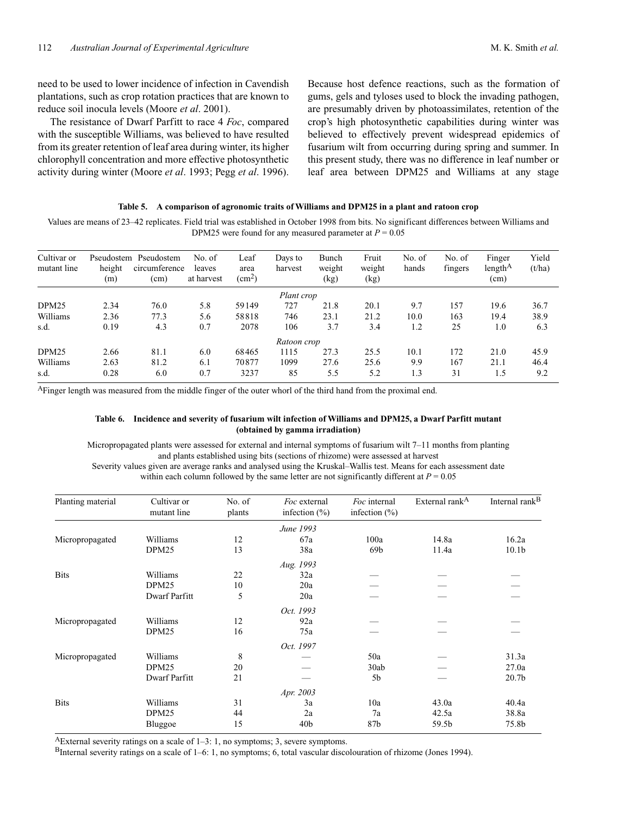need to be used to lower incidence of infection in Cavendish plantations, such as crop rotation practices that are known to reduce soil inocula levels (Moore *et al*. 2001).

The resistance of Dwarf Parfitt to race 4 *Foc*, compared with the susceptible Williams, was believed to have resulted from its greater retention of leaf area during winter, its higher chlorophyll concentration and more effective photosynthetic activity during winter (Moore *et al*. 1993; Pegg *et al*. 1996).

Because host defence reactions, such as the formation of gums, gels and tyloses used to block the invading pathogen, are presumably driven by photoassimilates, retention of the crop's high photosynthetic capabilities during winter was believed to effectively prevent widespread epidemics of fusarium wilt from occurring during spring and summer. In this present study, there was no difference in leaf number or leaf area between DPM25 and Williams at any stage

#### **Table 5. A comparison of agronomic traits of Williams and DPM25 in a plant and ratoon crop**

Values are means of 23–42 replicates. Field trial was established in October 1998 from bits. No significant differences between Williams and DPM25 were found for any measured parameter at *P* = 0.05

| Cultivar or<br>mutant line | height<br>(m) | Pseudostem Pseudostem<br>circumference<br>(cm) | No. of<br>leaves<br>at harvest | Leaf<br>area<br>(cm <sup>2</sup> ) | Days to<br>harvest | Bunch<br>weight<br>(kg) | Fruit<br>weight<br>(kg) | No. of<br>hands | No. of<br>fingers | Finger<br>length <sup>A</sup><br>(cm) | Yield<br>(t/ha) |
|----------------------------|---------------|------------------------------------------------|--------------------------------|------------------------------------|--------------------|-------------------------|-------------------------|-----------------|-------------------|---------------------------------------|-----------------|
|                            |               |                                                |                                |                                    | Plant crop         |                         |                         |                 |                   |                                       |                 |
| DPM <sub>25</sub>          | 2.34          | 76.0                                           | 5.8                            | 59149                              | 727                | 21.8                    | 20.1                    | 9.7             | 157               | 19.6                                  | 36.7            |
| Williams                   | 2.36          | 77.3                                           | 5.6                            | 58818                              | 746                | 23.1                    | 21.2                    | 10.0            | 163               | 19.4                                  | 38.9            |
| s.d.                       | 0.19          | 4.3                                            | 0.7                            | 2078                               | 106                | 3.7                     | 3.4                     | 1.2             | 25                | 1.0                                   | 6.3             |
|                            |               |                                                |                                |                                    | Ratoon crop        |                         |                         |                 |                   |                                       |                 |
| DPM <sub>25</sub>          | 2.66          | 81.1                                           | 6.0                            | 68465                              | 1115               | 27.3                    | 25.5                    | 10.1            | 172               | 21.0                                  | 45.9            |
| Williams                   | 2.63          | 81.2                                           | 6.1                            | 70877                              | 1099               | 27.6                    | 25.6                    | 9.9             | 167               | 21.1                                  | 46.4            |
| s.d.                       | 0.28          | 6.0                                            | 0.7                            | 3237                               | 85                 | 5.5                     | 5.2                     | 1.3             | 31                | 1.5                                   | 9.2             |

AFinger length was measured from the middle finger of the outer whorl of the third hand from the proximal end.

# **Table 6. Incidence and severity of fusarium wilt infection of Williams and DPM25, a Dwarf Parfitt mutant (obtained by gamma irradiation)**

Micropropagated plants were assessed for external and internal symptoms of fusarium wilt 7–11 months from planting and plants established using bits (sections of rhizome) were assessed at harvest Severity values given are average ranks and analysed using the Kruskal–Wallis test. Means for each assessment date within each column followed by the same letter are not significantly different at  $P = 0.05$ 

| Planting material | Cultivar or<br>mutant line | No. of<br>plants | Foc external<br>infection $(\% )$ | Foc internal<br>infection $(\% )$ | External rank <sup>A</sup> | Internal rank <sup>B</sup> |
|-------------------|----------------------------|------------------|-----------------------------------|-----------------------------------|----------------------------|----------------------------|
|                   |                            |                  | June 1993                         |                                   |                            |                            |
| Micropropagated   | Williams                   | 12               | 67a                               | 100a                              | 14.8a                      | 16.2a                      |
|                   | DPM <sub>25</sub>          | 13               | 38a                               | 69 <sub>b</sub>                   | 11.4a                      | 10.1 <sub>b</sub>          |
|                   |                            |                  | Aug. 1993                         |                                   |                            |                            |
| <b>Bits</b>       | Williams                   | 22               | 32a                               |                                   |                            |                            |
|                   | DPM <sub>25</sub>          | 10               | 20a                               |                                   |                            |                            |
|                   | Dwarf Parfitt              | 5                | 20a                               |                                   |                            |                            |
|                   |                            |                  | Oct. 1993                         |                                   |                            |                            |
| Micropropagated   | Williams                   | 12               | 92a                               |                                   |                            |                            |
|                   | DPM <sub>25</sub>          | 16               | 75a                               |                                   |                            |                            |
|                   |                            |                  | Oct. 1997                         |                                   |                            |                            |
| Micropropagated   | Williams                   | 8                |                                   | 50a                               |                            | 31.3a                      |
|                   | DPM <sub>25</sub>          | 20               |                                   | 30ab                              |                            | 27.0a                      |
|                   | Dwarf Parfitt              | 21               |                                   | 5 <sub>b</sub>                    |                            | 20.7 <sub>b</sub>          |
|                   |                            |                  | Apr. 2003                         |                                   |                            |                            |
| <b>Bits</b>       | Williams                   | 31               | 3a                                | 10a                               | 43.0a                      | 40.4a                      |
|                   | DPM <sub>25</sub>          | 44               | 2a                                | 7a                                | 42.5a                      | 38.8a                      |
|                   | Bluggoe                    | 15               | 40 <sub>b</sub>                   | 87b                               | 59.5b                      | 75.8b                      |

AExternal severity ratings on a scale of 1–3: 1, no symptoms; 3, severe symptoms.

BInternal severity ratings on a scale of 1–6: 1, no symptoms; 6, total vascular discolouration of rhizome (Jones 1994).